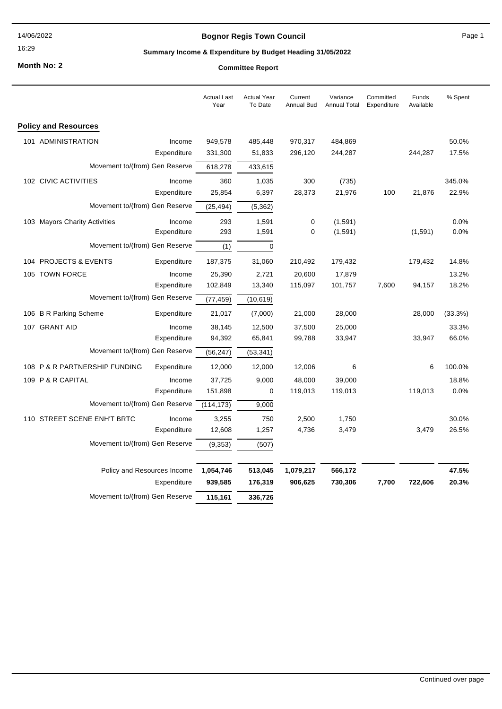16:29

## **Bognor Regis Town Council**

Page 1

## **Summary Income & Expenditure by Budget Heading 31/05/2022**

**Month No: 2**

|                                |                             | <b>Actual Last</b><br>Year | <b>Actual Year</b><br>To Date | Current<br>Annual Bud | Variance<br><b>Annual Total</b> | Committed<br>Expenditure | Funds<br>Available | % Spent |
|--------------------------------|-----------------------------|----------------------------|-------------------------------|-----------------------|---------------------------------|--------------------------|--------------------|---------|
| <b>Policy and Resources</b>    |                             |                            |                               |                       |                                 |                          |                    |         |
| 101 ADMINISTRATION             | Income                      | 949,578                    | 485,448                       | 970,317               | 484,869                         |                          |                    | 50.0%   |
|                                | Expenditure                 | 331,300                    | 51,833                        | 296,120               | 244,287                         |                          | 244,287            | 17.5%   |
| Movement to/(from) Gen Reserve |                             | 618,278                    | 433,615                       |                       |                                 |                          |                    |         |
| 102 CIVIC ACTIVITIES           | Income                      | 360                        | 1,035                         | 300                   | (735)                           |                          |                    | 345.0%  |
|                                | Expenditure                 | 25,854                     | 6,397                         | 28,373                | 21,976                          | 100                      | 21,876             | 22.9%   |
| Movement to/(from) Gen Reserve |                             | (25, 494)                  | (5, 362)                      |                       |                                 |                          |                    |         |
| 103 Mayors Charity Activities  | Income                      | 293                        | 1,591                         | 0                     | (1,591)                         |                          |                    | 0.0%    |
|                                | Expenditure                 | 293                        | 1,591                         | 0                     | (1,591)                         |                          | (1,591)            | 0.0%    |
| Movement to/(from) Gen Reserve |                             | (1)                        | $\mathbf 0$                   |                       |                                 |                          |                    |         |
| 104 PROJECTS & EVENTS          | Expenditure                 | 187,375                    | 31,060                        | 210,492               | 179,432                         |                          | 179,432            | 14.8%   |
| 105 TOWN FORCE                 | Income                      | 25,390                     | 2,721                         | 20,600                | 17,879                          |                          |                    | 13.2%   |
|                                | Expenditure                 | 102,849                    | 13,340                        | 115,097               | 101,757                         | 7,600                    | 94,157             | 18.2%   |
| Movement to/(from) Gen Reserve |                             | (77, 459)                  | (10, 619)                     |                       |                                 |                          |                    |         |
| 106 B R Parking Scheme         | Expenditure                 | 21,017                     | (7,000)                       | 21,000                | 28,000                          |                          | 28,000             | (33.3%) |
| 107 GRANT AID                  | Income                      | 38,145                     | 12,500                        | 37,500                | 25,000                          |                          |                    | 33.3%   |
|                                | Expenditure                 | 94,392                     | 65,841                        | 99,788                | 33,947                          |                          | 33,947             | 66.0%   |
| Movement to/(from) Gen Reserve |                             | (56, 247)                  | (53, 341)                     |                       |                                 |                          |                    |         |
| 108 P & R PARTNERSHIP FUNDING  | Expenditure                 | 12,000                     | 12,000                        | 12,006                | 6                               |                          | 6                  | 100.0%  |
| 109 P & R CAPITAL              | Income                      | 37,725                     | 9,000                         | 48,000                | 39,000                          |                          |                    | 18.8%   |
|                                | Expenditure                 | 151,898                    | 0                             | 119,013               | 119,013                         |                          | 119,013            | 0.0%    |
| Movement to/(from) Gen Reserve |                             | (114, 173)                 | 9,000                         |                       |                                 |                          |                    |         |
| 110 STREET SCENE ENH'T BRTC    | Income                      | 3,255                      | 750                           | 2,500                 | 1,750                           |                          |                    | 30.0%   |
|                                | Expenditure                 | 12,608                     | 1,257                         | 4,736                 | 3,479                           |                          | 3,479              | 26.5%   |
| Movement to/(from) Gen Reserve |                             | (9, 353)                   | (507)                         |                       |                                 |                          |                    |         |
|                                | Policy and Resources Income | 1,054,746                  | 513,045                       | 1,079,217             | 566,172                         |                          |                    | 47.5%   |
|                                | Expenditure                 | 939,585                    | 176,319                       | 906,625               | 730,306                         | 7,700                    | 722,606            | 20.3%   |
| Movement to/(from) Gen Reserve |                             | 115,161                    | 336,726                       |                       |                                 |                          |                    |         |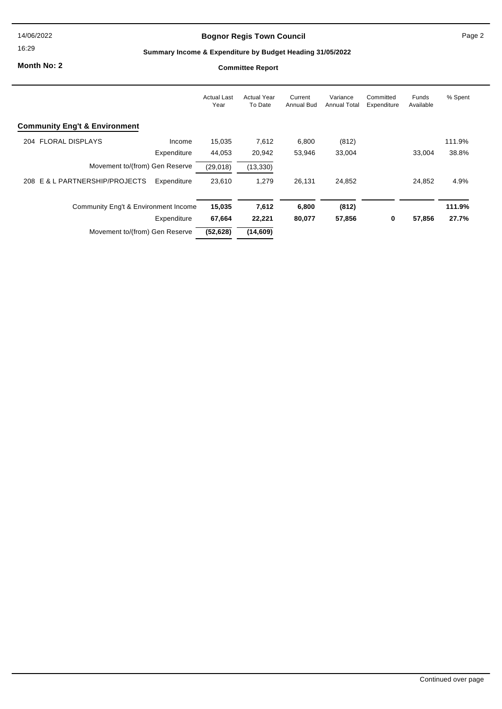16:29

## **Bognor Regis Town Council**

Page 2

## **Summary Income & Expenditure by Budget Heading 31/05/2022**

**Month No: 2**

|                                               | <b>Actual Last</b><br>Year | <b>Actual Year</b><br>To Date | Current<br><b>Annual Bud</b> | Variance<br><b>Annual Total</b> | Committed<br>Expenditure | Funds<br>Available | % Spent |
|-----------------------------------------------|----------------------------|-------------------------------|------------------------------|---------------------------------|--------------------------|--------------------|---------|
| <b>Community Eng't &amp; Environment</b>      |                            |                               |                              |                                 |                          |                    |         |
| 204 FLORAL DISPLAYS                           | 15,035<br>Income           | 7,612                         | 6,800                        | (812)                           |                          |                    | 111.9%  |
| Expenditure                                   | 44,053                     | 20,942                        | 53,946                       | 33,004                          |                          | 33.004             | 38.8%   |
| Movement to/(from) Gen Reserve                | (29,018)                   | (13, 330)                     |                              |                                 |                          |                    |         |
| 208 E & L PARTNERSHIP/PROJECTS<br>Expenditure | 23.610                     | 1,279                         | 26,131                       | 24,852                          |                          | 24,852             | 4.9%    |
| Community Eng't & Environment Income          | 15,035                     | 7,612                         | 6,800                        | (812)                           |                          |                    | 111.9%  |
| Expenditure                                   | 67,664                     | 22,221                        | 80,077                       | 57,856                          | 0                        | 57,856             | 27.7%   |
| Movement to/(from) Gen Reserve                | (52, 628)                  | (14, 609)                     |                              |                                 |                          |                    |         |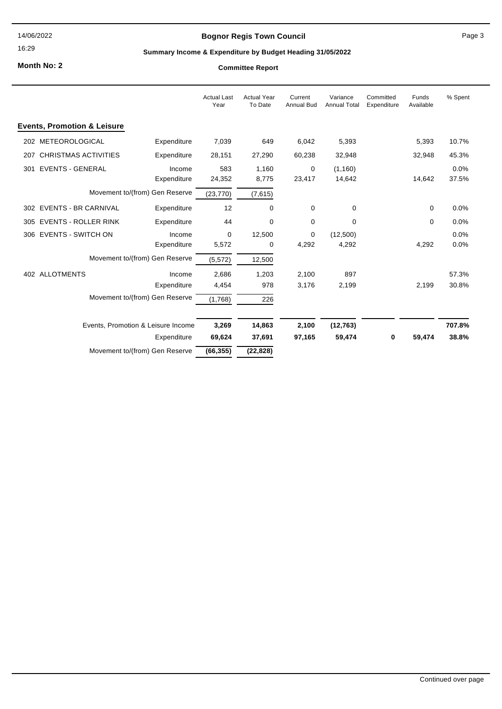16:29

## **Bognor Regis Town Council**

#### Page 3

## **Summary Income & Expenditure by Budget Heading 31/05/2022**

**Month No: 2**

|     |                                        |                                    | <b>Actual Last</b><br>Year | <b>Actual Year</b><br>To Date | Current<br><b>Annual Bud</b> | Variance<br><b>Annual Total</b> | Committed<br>Expenditure | Funds<br>Available | % Spent       |
|-----|----------------------------------------|------------------------------------|----------------------------|-------------------------------|------------------------------|---------------------------------|--------------------------|--------------------|---------------|
|     | <b>Events, Promotion &amp; Leisure</b> |                                    |                            |                               |                              |                                 |                          |                    |               |
|     | 202 METEOROLOGICAL                     | Expenditure                        | 7,039                      | 649                           | 6,042                        | 5,393                           |                          | 5,393              | 10.7%         |
| 207 | <b>CHRISTMAS ACTIVITIES</b>            | Expenditure                        | 28,151                     | 27,290                        | 60,238                       | 32,948                          |                          | 32,948             | 45.3%         |
| 301 | <b>EVENTS - GENERAL</b>                | Income<br>Expenditure              | 583<br>24,352              | 1,160<br>8,775                | 0<br>23,417                  | (1, 160)<br>14,642              |                          | 14,642             | 0.0%<br>37.5% |
|     |                                        | Movement to/(from) Gen Reserve     | (23, 770)                  | (7,615)                       |                              |                                 |                          |                    |               |
|     | 302 EVENTS - BR CARNIVAL               | Expenditure                        | 12                         | 0                             | 0                            | 0                               |                          | 0                  | 0.0%          |
|     | 305 EVENTS - ROLLER RINK               | Expenditure                        | 44                         | 0                             | 0                            | 0                               |                          | $\mathbf 0$        | 0.0%          |
|     | 306 EVENTS - SWITCH ON                 | Income                             | 0                          | 12,500                        | 0                            | (12,500)                        |                          |                    | 0.0%          |
|     |                                        | Expenditure                        | 5,572                      | 0                             | 4,292                        | 4,292                           |                          | 4,292              | 0.0%          |
|     |                                        | Movement to/(from) Gen Reserve     | (5, 572)                   | 12,500                        |                              |                                 |                          |                    |               |
|     | 402 ALLOTMENTS                         | Income                             | 2,686                      | 1,203                         | 2,100                        | 897                             |                          |                    | 57.3%         |
|     |                                        | Expenditure                        | 4,454                      | 978                           | 3,176                        | 2,199                           |                          | 2,199              | 30.8%         |
|     |                                        | Movement to/(from) Gen Reserve     | (1,768)                    | 226                           |                              |                                 |                          |                    |               |
|     |                                        | Events, Promotion & Leisure Income | 3,269                      | 14,863                        | 2,100                        | (12, 763)                       |                          |                    | 707.8%        |
|     |                                        | Expenditure                        | 69,624                     | 37,691                        | 97,165                       | 59,474                          | 0                        | 59,474             | 38.8%         |
|     |                                        | Movement to/(from) Gen Reserve     | (66, 355)                  | (22, 828)                     |                              |                                 |                          |                    |               |